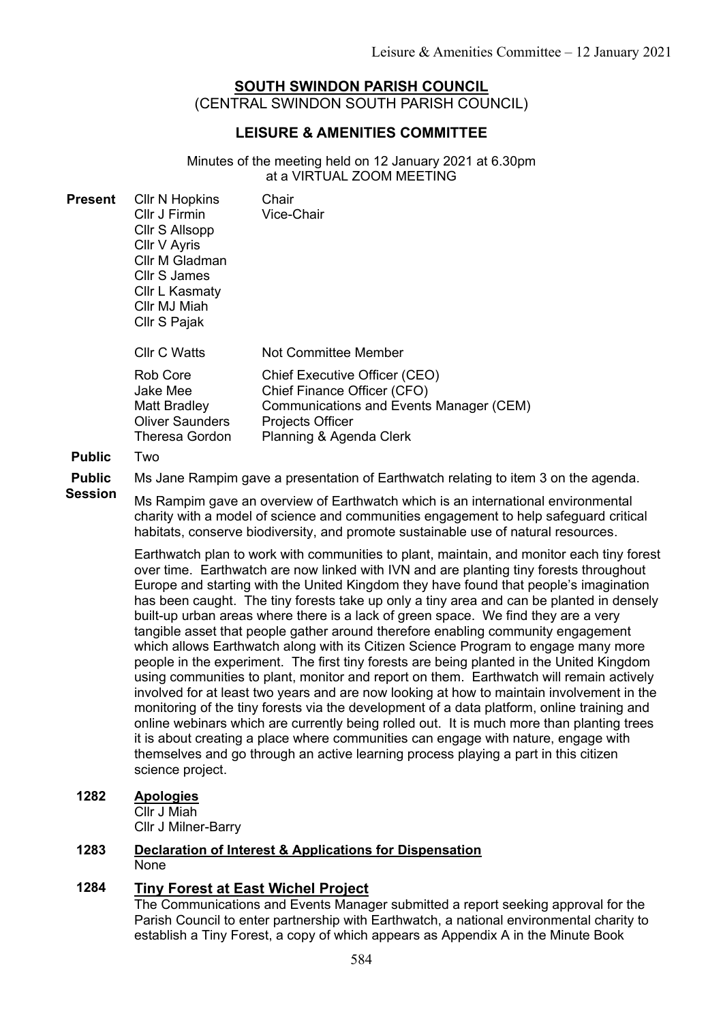## **SOUTH SWINDON PARISH COUNCIL** (CENTRAL SWINDON SOUTH PARISH COUNCIL)

# **LEISURE & AMENITIES COMMITTEE**

Minutes of the meeting held on 12 January 2021 at 6.30pm at a VIRTUAL ZOOM MEETING

| Present | <b>CIIr N Hopkins</b><br>Cllr J Firmin<br>Cllr S Allsopp<br>Cllr V Ayris<br>Cllr M Gladman<br>Cllr S James<br>Cllr L Kasmaty<br>Cllr MJ Miah<br>Cllr S Pajak | Chair<br>Vice-Chair                                                                                                                                           |
|---------|--------------------------------------------------------------------------------------------------------------------------------------------------------------|---------------------------------------------------------------------------------------------------------------------------------------------------------------|
|         | <b>CIIr C Watts</b>                                                                                                                                          | Not Committee Member                                                                                                                                          |
|         | Rob Core<br>Jake Mee<br>Matt Bradley<br><b>Oliver Saunders</b><br><b>Theresa Gordon</b>                                                                      | Chief Executive Officer (CEO)<br>Chief Finance Officer (CFO)<br>Communications and Events Manager (CEM)<br><b>Projects Officer</b><br>Planning & Agenda Clerk |

#### **Public** Two

**Public**  Ms Jane Rampim gave a presentation of Earthwatch relating to item 3 on the agenda.

**Session** Ms Rampim gave an overview of Earthwatch which is an international environmental charity with a model of science and communities engagement to help safeguard critical habitats, conserve biodiversity, and promote sustainable use of natural resources.

> Earthwatch plan to work with communities to plant, maintain, and monitor each tiny forest over time. Earthwatch are now linked with IVN and are planting tiny forests throughout Europe and starting with the United Kingdom they have found that people's imagination has been caught. The tiny forests take up only a tiny area and can be planted in densely built-up urban areas where there is a lack of green space. We find they are a very tangible asset that people gather around therefore enabling community engagement which allows Earthwatch along with its Citizen Science Program to engage many more people in the experiment. The first tiny forests are being planted in the United Kingdom using communities to plant, monitor and report on them. Earthwatch will remain actively involved for at least two years and are now looking at how to maintain involvement in the monitoring of the tiny forests via the development of a data platform, online training and online webinars which are currently being rolled out. It is much more than planting trees it is about creating a place where communities can engage with nature, engage with themselves and go through an active learning process playing a part in this citizen science project.

## **1282 Apologies**

Cllr J Miah Cllr J Milner-Barry

#### **1283 Declaration of Interest & Applications for Dispensation** None

# **1284 Tiny Forest at East Wichel Project**

The Communications and Events Manager submitted a report seeking approval for the Parish Council to enter partnership with Earthwatch, a national environmental charity to establish a Tiny Forest, a copy of which appears as Appendix A in the Minute Book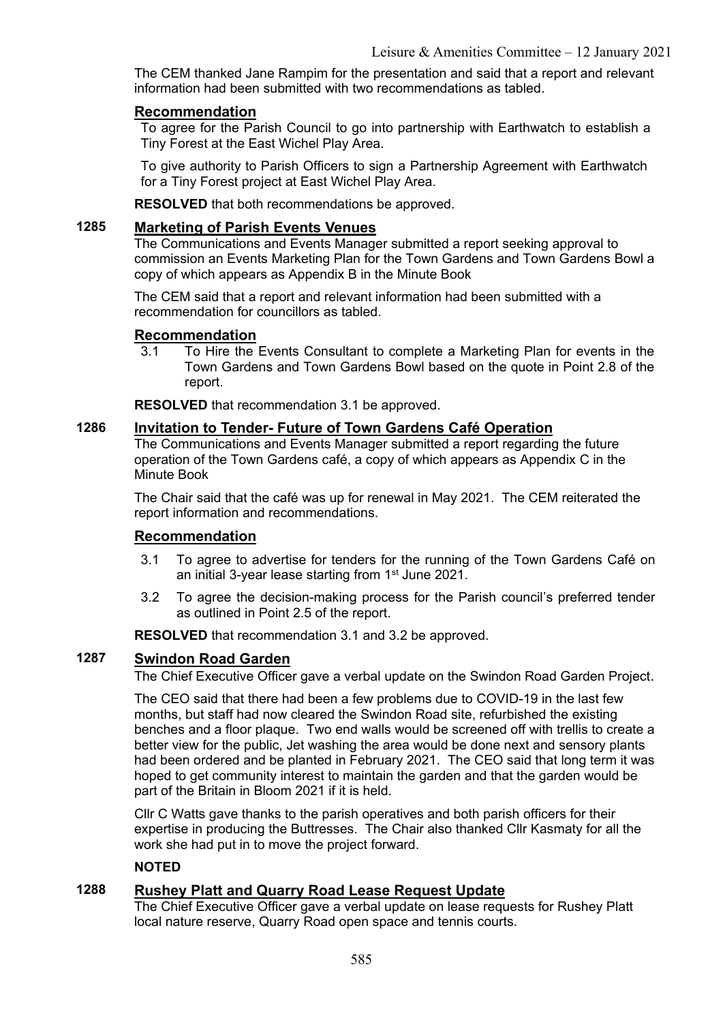The CEM thanked Jane Rampim for the presentation and said that a report and relevant information had been submitted with two recommendations as tabled.

## **Recommendation**

To agree for the Parish Council to go into partnership with Earthwatch to establish a Tiny Forest at the East Wichel Play Area.

To give authority to Parish Officers to sign a Partnership Agreement with Earthwatch for a Tiny Forest project at East Wichel Play Area.

**RESOLVED** that both recommendations be approved.

## **1285 Marketing of Parish Events Venues**

The Communications and Events Manager submitted a report seeking approval to commission an Events Marketing Plan for the Town Gardens and Town Gardens Bowl a copy of which appears as Appendix B in the Minute Book

The CEM said that a report and relevant information had been submitted with a recommendation for councillors as tabled.

## **Recommendation**

3.1 To Hire the Events Consultant to complete a Marketing Plan for events in the Town Gardens and Town Gardens Bowl based on the quote in Point 2.8 of the report.

**RESOLVED** that recommendation 3.1 be approved.

## **1286 Invitation to Tender- Future of Town Gardens Café Operation**

The Communications and Events Manager submitted a report regarding the future operation of the Town Gardens café, a copy of which appears as Appendix C in the Minute Book

The Chair said that the café was up for renewal in May 2021. The CEM reiterated the report information and recommendations.

#### **Recommendation**

- 3.1 To agree to advertise for tenders for the running of the Town Gardens Café on an initial 3-year lease starting from 1<sup>st</sup> June 2021.
- 3.2 To agree the decision-making process for the Parish council's preferred tender as outlined in Point 2.5 of the report.

**RESOLVED** that recommendation 3.1 and 3.2 be approved.

## **1287 Swindon Road Garden**

The Chief Executive Officer gave a verbal update on the Swindon Road Garden Project.

The CEO said that there had been a few problems due to COVID-19 in the last few months, but staff had now cleared the Swindon Road site, refurbished the existing benches and a floor plaque. Two end walls would be screened off with trellis to create a better view for the public, Jet washing the area would be done next and sensory plants had been ordered and be planted in February 2021. The CEO said that long term it was hoped to get community interest to maintain the garden and that the garden would be part of the Britain in Bloom 2021 if it is held.

Cllr C Watts gave thanks to the parish operatives and both parish officers for their expertise in producing the Buttresses. The Chair also thanked Cllr Kasmaty for all the work she had put in to move the project forward.

#### **NOTED**

## **1288 Rushey Platt and Quarry Road Lease Request Update**

The Chief Executive Officer gave a verbal update on lease requests for Rushey Platt local nature reserve, Quarry Road open space and tennis courts.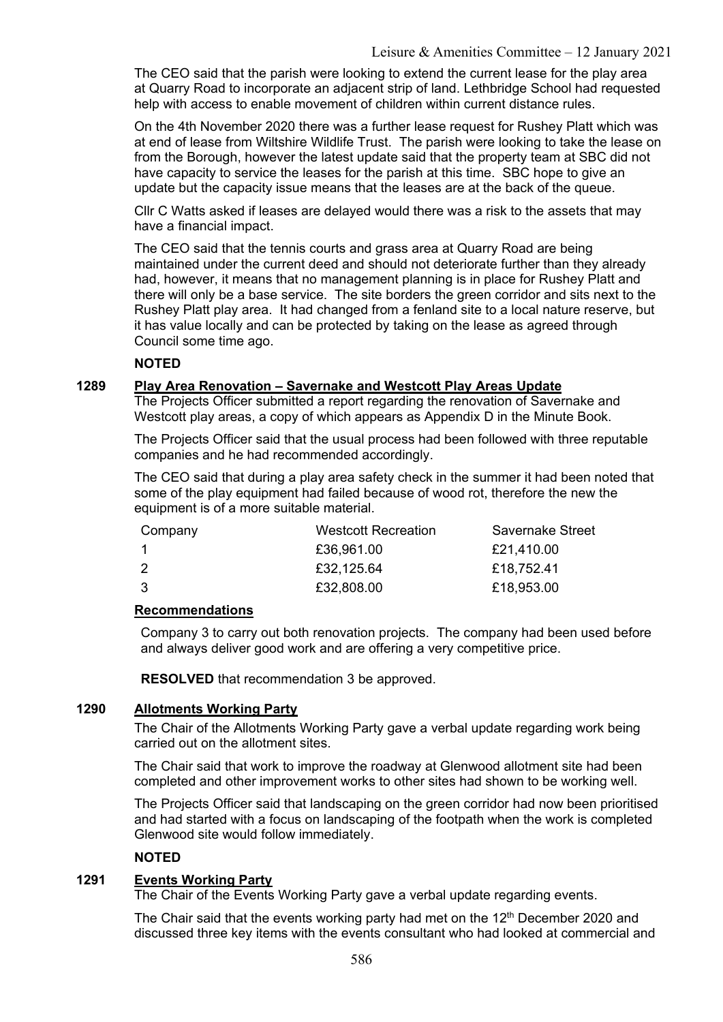The CEO said that the parish were looking to extend the current lease for the play area at Quarry Road to incorporate an adjacent strip of land. Lethbridge School had requested help with access to enable movement of children within current distance rules.

On the 4th November 2020 there was a further lease request for Rushey Platt which was at end of lease from Wiltshire Wildlife Trust. The parish were looking to take the lease on from the Borough, however the latest update said that the property team at SBC did not have capacity to service the leases for the parish at this time. SBC hope to give an update but the capacity issue means that the leases are at the back of the queue.

Cllr C Watts asked if leases are delayed would there was a risk to the assets that may have a financial impact.

The CEO said that the tennis courts and grass area at Quarry Road are being maintained under the current deed and should not deteriorate further than they already had, however, it means that no management planning is in place for Rushey Platt and there will only be a base service. The site borders the green corridor and sits next to the Rushey Platt play area. It had changed from a fenland site to a local nature reserve, but it has value locally and can be protected by taking on the lease as agreed through Council some time ago.

#### **NOTED**

#### **1289 Play Area Renovation – Savernake and Westcott Play Areas Update**

The Projects Officer submitted a report regarding the renovation of Savernake and Westcott play areas, a copy of which appears as Appendix D in the Minute Book.

The Projects Officer said that the usual process had been followed with three reputable companies and he had recommended accordingly.

The CEO said that during a play area safety check in the summer it had been noted that some of the play equipment had failed because of wood rot, therefore the new the equipment is of a more suitable material.

| Company | <b>Westcott Recreation</b> | Savernake Street |
|---------|----------------------------|------------------|
|         | £36,961.00                 | £21,410.00       |
| 2       | £32,125.64                 | £18,752.41       |
| 3       | £32,808.00                 | £18,953.00       |

#### **Recommendations**

Company 3 to carry out both renovation projects. The company had been used before and always deliver good work and are offering a very competitive price.

**RESOLVED** that recommendation 3 be approved.

#### **1290 Allotments Working Party**

The Chair of the Allotments Working Party gave a verbal update regarding work being carried out on the allotment sites.

The Chair said that work to improve the roadway at Glenwood allotment site had been completed and other improvement works to other sites had shown to be working well.

The Projects Officer said that landscaping on the green corridor had now been prioritised and had started with a focus on landscaping of the footpath when the work is completed Glenwood site would follow immediately.

## **NOTED**

#### **1291 Events Working Party**

The Chair of the Events Working Party gave a verbal update regarding events.

The Chair said that the events working party had met on the 12<sup>th</sup> December 2020 and discussed three key items with the events consultant who had looked at commercial and